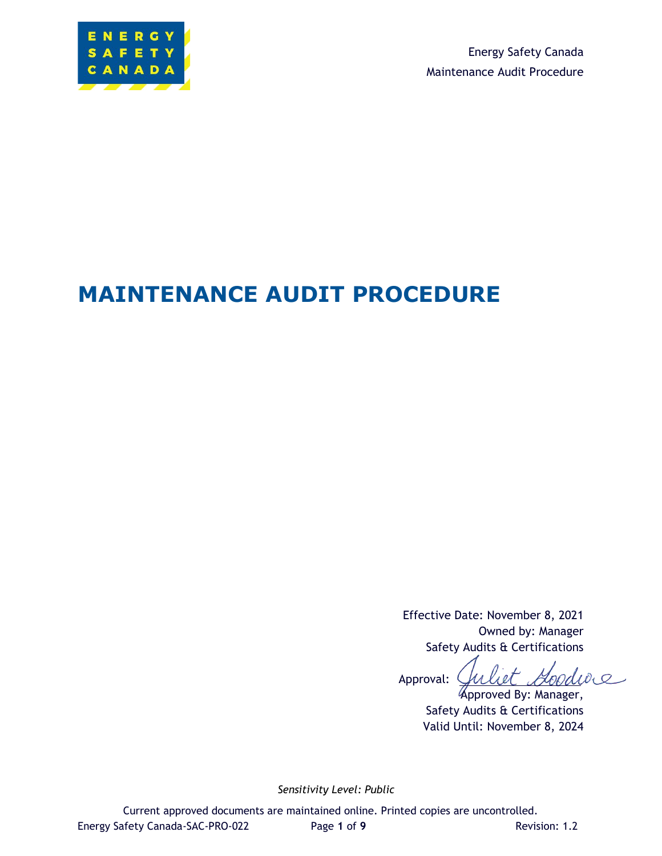

Energy Safety Canada Maintenance Audit Procedure

# **MAINTENANCE AUDIT PROCEDURE**

Effective Date: November 8, 2021 Owned by: Manager Safety Audits & Certifications

Goodwe Approval:

Approved By: Manager, Safety Audits & Certifications Valid Until: November 8, 2024

*Sensitivity Level: Public*

Current approved documents are maintained online. Printed copies are uncontrolled. Energy Safety Canada-SAC-PRO-022 Page 1 of 9 Revision: 1.2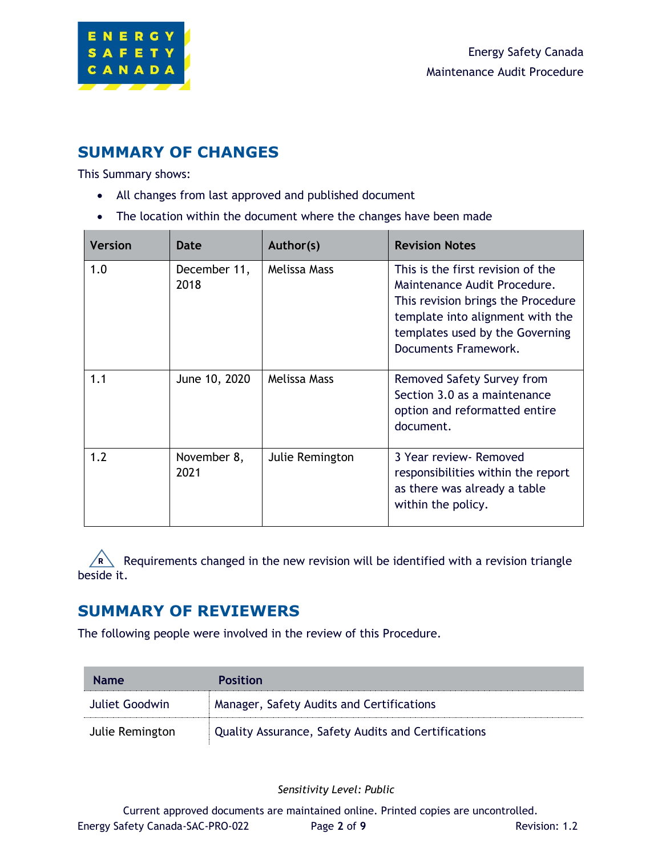

### **SUMMARY OF CHANGES**

This Summary shows:

- All changes from last approved and published document
- The location within the document where the changes have been made

| <b>Version</b> | Date                 | Author(s)       | <b>Revision Notes</b>                                                                                                                                                                                  |
|----------------|----------------------|-----------------|--------------------------------------------------------------------------------------------------------------------------------------------------------------------------------------------------------|
| 1.0            | December 11,<br>2018 | Melissa Mass    | This is the first revision of the<br>Maintenance Audit Procedure.<br>This revision brings the Procedure<br>template into alignment with the<br>templates used by the Governing<br>Documents Framework. |
| 1.1            | June 10, 2020        | Melissa Mass    | Removed Safety Survey from<br>Section 3.0 as a maintenance<br>option and reformatted entire<br>document.                                                                                               |
| 1.2            | November 8,<br>2021  | Julie Remington | 3 Year review - Removed<br>responsibilities within the report<br>as there was already a table<br>within the policy.                                                                                    |

R Requirements changed in the new revision will be identified with a revision triangle beside it.

### **SUMMARY OF REVIEWERS**

The following people were involved in the review of this Procedure.

| <b>Name</b>     | <b>Position</b>                                     |
|-----------------|-----------------------------------------------------|
| Juliet Goodwin  | Manager, Safety Audits and Certifications           |
| Julie Remington | Quality Assurance, Safety Audits and Certifications |

*Sensitivity Level: Public*

Current approved documents are maintained online. Printed copies are uncontrolled. Energy Safety Canada-SAC-PRO-022 Page 2 of 9 Revision: 1.2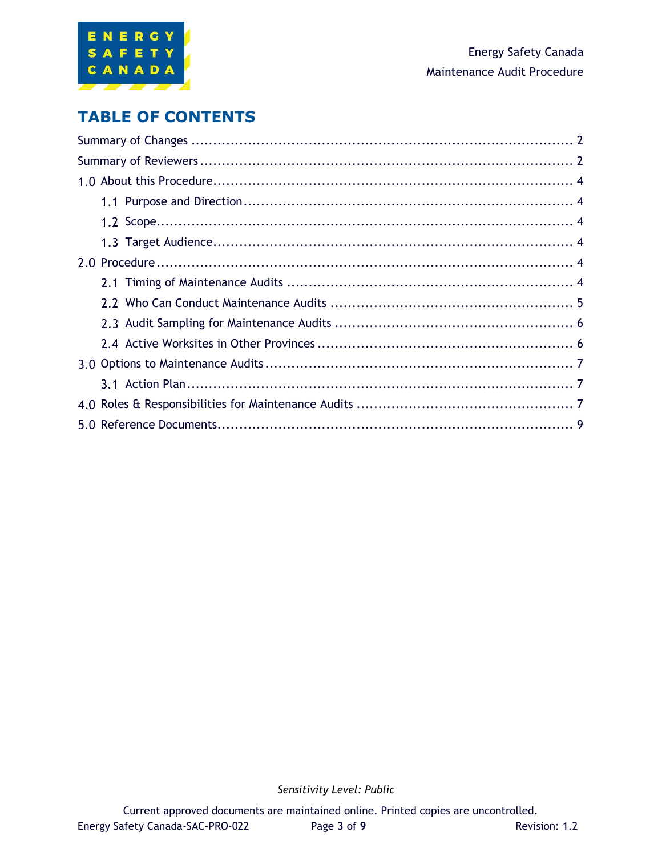

### **TABLE OF CONTENTS**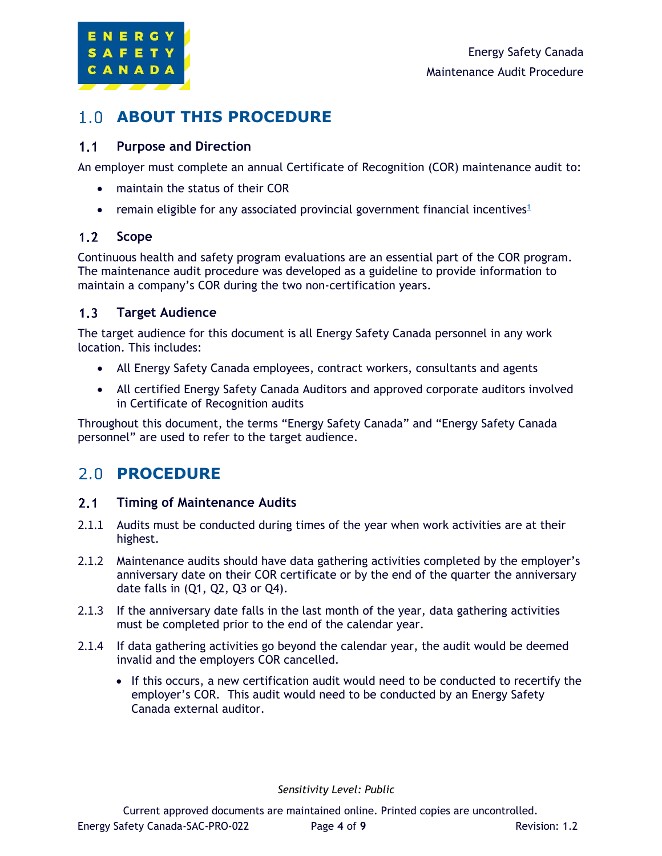

### **ABOUT THIS PROCEDURE**

#### $1.1$ **Purpose and Direction**

An employer must complete an annual Certificate of Recognition (COR) maintenance audit to:

- maintain the status of their COR
- remain eligible for any associated provincial government financial incentives<sup>1</sup>

#### $1.2$ **Scope**

Continuous health and safety program evaluations are an essential part of the COR program. The maintenance audit procedure was developed as a guideline to provide information to maintain a company's COR during the two non-certification years.

#### $1.3$ **Target Audience**

The target audience for this document is all Energy Safety Canada personnel in any work location. This includes:

- All Energy Safety Canada employees, contract workers, consultants and agents
- All certified Energy Safety Canada Auditors and approved corporate auditors involved in Certificate of Recognition audits

Throughout this document, the terms "Energy Safety Canada" and "Energy Safety Canada personnel" are used to refer to the target audience.

## 2.0 PROCEDURE

#### $2.1$ **Timing of Maintenance Audits**

- 2.1.1 Audits must be conducted during times of the year when work activities are at their highest.
- 2.1.2 Maintenance audits should have data gathering activities completed by the employer's anniversary date on their COR certificate or by the end of the quarter the anniversary date falls in (Q1, Q2, Q3 or Q4).
- 2.1.3 If the anniversary date falls in the last month of the year, data gathering activities must be completed prior to the end of the calendar year.
- 2.1.4 If data gathering activities go beyond the calendar year, the audit would be deemed invalid and the employers COR cancelled.
	- If this occurs, a new certification audit would need to be conducted to recertify the employer's COR. This audit would need to be conducted by an Energy Safety Canada external auditor.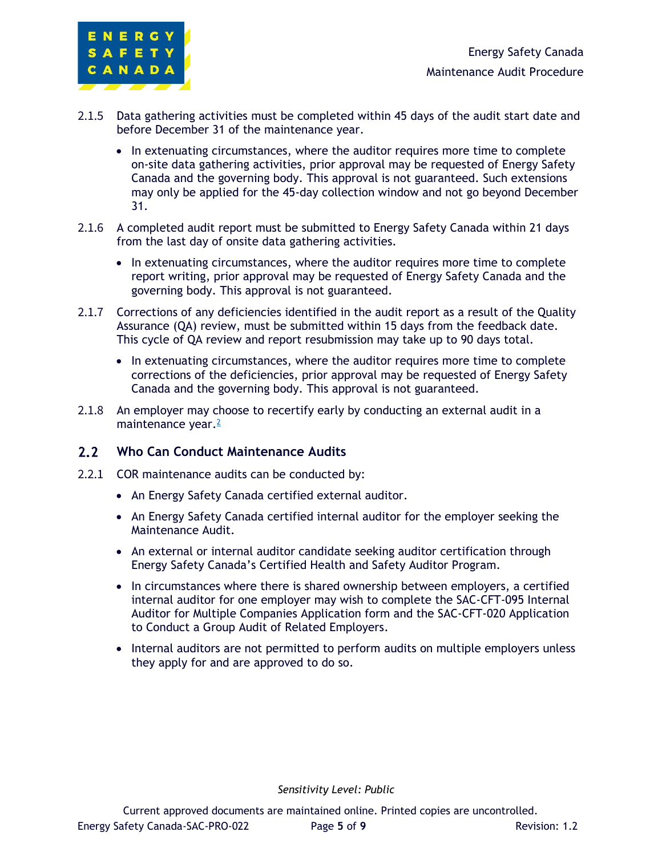

- 2.1.5 Data gathering activities must be completed within 45 days of the audit start date and before December 31 of the maintenance year.
	- In extenuating circumstances, where the auditor requires more time to complete on-site data gathering activities, prior approval may be requested of Energy Safety Canada and the governing body. This approval is not guaranteed. Such extensions may only be applied for the 45-day collection window and not go beyond December 31.
- 2.1.6 A completed audit report must be submitted to Energy Safety Canada within 21 days from the last day of onsite data gathering activities.
	- In extenuating circumstances, where the auditor requires more time to complete report writing, prior approval may be requested of Energy Safety Canada and the governing body. This approval is not guaranteed.
- 2.1.7 Corrections of any deficiencies identified in the audit report as a result of the Quality Assurance (QA) review, must be submitted within 15 days from the feedback date. This cycle of QA review and report resubmission may take up to 90 days total.
	- In extenuating circumstances, where the auditor requires more time to complete corrections of the deficiencies, prior approval may be requested of Energy Safety Canada and the governing body. This approval is not guaranteed.
- 2.1.8 An employer may choose to recertify early by conducting an external audit in a maintenance year.<sup>≧</sup>

#### $2.2$ **Who Can Conduct Maintenance Audits**

- 2.2.1 COR maintenance audits can be conducted by:
	- An Energy Safety Canada certified external auditor.
	- An Energy Safety Canada certified internal auditor for the employer seeking the Maintenance Audit.
	- An external or internal auditor candidate seeking auditor certification through Energy Safety Canada's Certified Health and Safety Auditor Program.
	- In circumstances where there is shared ownership between employers, a certified internal auditor for one employer may wish to complete the SAC-CFT-095 Internal Auditor for Multiple Companies Application form and the SAC-CFT-020 Application to Conduct a Group Audit of Related Employers.
	- Internal auditors are not permitted to perform audits on multiple employers unless they apply for and are approved to do so.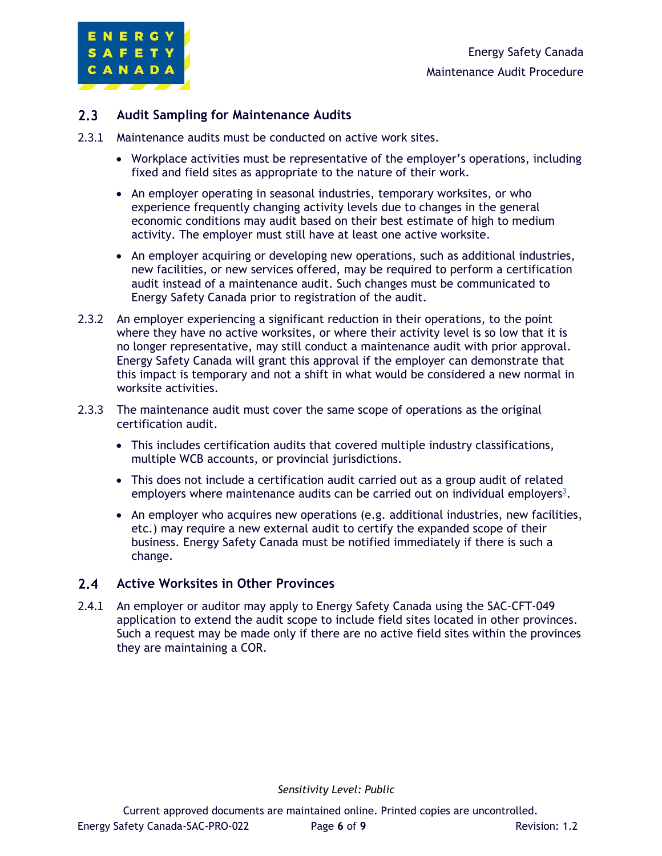

#### $2.3<sup>°</sup>$ **Audit Sampling for Maintenance Audits**

- 2.3.1 Maintenance audits must be conducted on active work sites.
	- Workplace activities must be representative of the employer's operations, including fixed and field sites as appropriate to the nature of their work.
	- An employer operating in seasonal industries, temporary worksites, or who experience frequently changing activity levels due to changes in the general economic conditions may audit based on their best estimate of high to medium activity. The employer must still have at least one active worksite.
	- An employer acquiring or developing new operations, such as additional industries, new facilities, or new services offered, may be required to perform a certification audit instead of a maintenance audit. Such changes must be communicated to Energy Safety Canada prior to registration of the audit.
- 2.3.2 An employer experiencing a significant reduction in their operations, to the point where they have no active worksites, or where their activity level is so low that it is no longer representative, may still conduct a maintenance audit with prior approval. Energy Safety Canada will grant this approval if the employer can demonstrate that this impact is temporary and not a shift in what would be considered a new normal in worksite activities.
- 2.3.3 The maintenance audit must cover the same scope of operations as the original certification audit.
	- This includes certification audits that covered multiple industry classifications, multiple WCB accounts, or provincial jurisdictions.
	- This does not include a certification audit carried out as a group audit of related employers where maintenance audits can be carried out on individual employers<sup>3</sup>.
	- An employer who acquires new operations (e.g. additional industries, new facilities, etc.) may require a new external audit to certify the expanded scope of their business. Energy Safety Canada must be notified immediately if there is such a change.

#### $2.4$ **Active Worksites in Other Provinces**

2.4.1 An employer or auditor may apply to Energy Safety Canada using the SAC-CFT-049 application to extend the audit scope to include field sites located in other provinces. Such a request may be made only if there are no active field sites within the provinces they are maintaining a COR.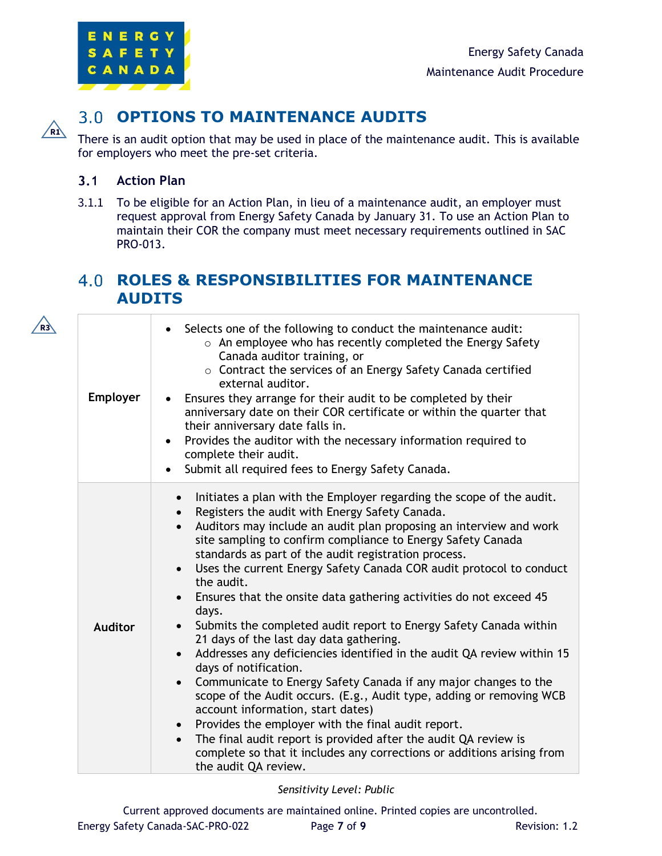

## $\sqrt{R1}$

**R3**

### **OPTIONS TO MAINTENANCE AUDITS**

There is an audit option that may be used in place of the maintenance audit. This is available for employers who meet the pre-set criteria.

#### $3.1$ **Action Plan**

3.1.1 To be eligible for an Action Plan, in lieu of a maintenance audit, an employer must request approval from Energy Safety Canada by January 31. To use an Action Plan to maintain their COR the company must meet necessary requirements outlined in SAC PRO-013.

### **ROLES & RESPONSIBILITIES FOR MAINTENANCE AUDITS**

| <b>Employer</b> | Selects one of the following to conduct the maintenance audit:<br>$\bullet$<br>$\circ$ An employee who has recently completed the Energy Safety<br>Canada auditor training, or<br>$\circ$ Contract the services of an Energy Safety Canada certified<br>external auditor.<br>Ensures they arrange for their audit to be completed by their<br>anniversary date on their COR certificate or within the quarter that<br>their anniversary date falls in.<br>Provides the auditor with the necessary information required to<br>complete their audit.<br>Submit all required fees to Energy Safety Canada.<br>$\bullet$                                                                                                                                                                                                                                                                                                                                                                                                                                                                                                                                                                   |
|-----------------|----------------------------------------------------------------------------------------------------------------------------------------------------------------------------------------------------------------------------------------------------------------------------------------------------------------------------------------------------------------------------------------------------------------------------------------------------------------------------------------------------------------------------------------------------------------------------------------------------------------------------------------------------------------------------------------------------------------------------------------------------------------------------------------------------------------------------------------------------------------------------------------------------------------------------------------------------------------------------------------------------------------------------------------------------------------------------------------------------------------------------------------------------------------------------------------|
| <b>Auditor</b>  | Initiates a plan with the Employer regarding the scope of the audit.<br>Registers the audit with Energy Safety Canada.<br>Auditors may include an audit plan proposing an interview and work<br>$\bullet$<br>site sampling to confirm compliance to Energy Safety Canada<br>standards as part of the audit registration process.<br>Uses the current Energy Safety Canada COR audit protocol to conduct<br>$\bullet$<br>the audit.<br>Ensures that the onsite data gathering activities do not exceed 45<br>days.<br>Submits the completed audit report to Energy Safety Canada within<br>21 days of the last day data gathering.<br>Addresses any deficiencies identified in the audit QA review within 15<br>$\bullet$<br>days of notification.<br>Communicate to Energy Safety Canada if any major changes to the<br>scope of the Audit occurs. (E.g., Audit type, adding or removing WCB<br>account information, start dates)<br>Provides the employer with the final audit report.<br>$\bullet$<br>The final audit report is provided after the audit QA review is<br>$\bullet$<br>complete so that it includes any corrections or additions arising from<br>the audit QA review. |

### *Sensitivity Level: Public*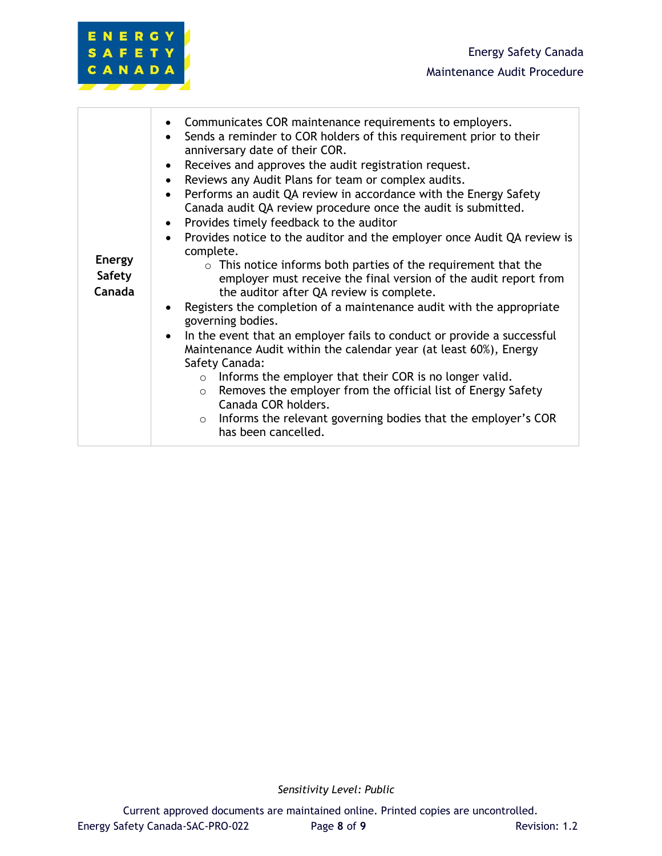| <b>Energy</b><br><b>Safety</b><br>Canada | Communicates COR maintenance requirements to employers.<br>$\bullet$<br>Sends a reminder to COR holders of this requirement prior to their<br>anniversary date of their COR.<br>Receives and approves the audit registration request.<br>Reviews any Audit Plans for team or complex audits.<br>$\bullet$<br>Performs an audit QA review in accordance with the Energy Safety<br>$\bullet$<br>Canada audit QA review procedure once the audit is submitted.<br>Provides timely feedback to the auditor<br>Provides notice to the auditor and the employer once Audit QA review is<br>complete.<br>$\circ$ This notice informs both parties of the requirement that the<br>employer must receive the final version of the audit report from<br>the auditor after QA review is complete.<br>Registers the completion of a maintenance audit with the appropriate<br>$\bullet$<br>governing bodies.<br>In the event that an employer fails to conduct or provide a successful<br>$\bullet$<br>Maintenance Audit within the calendar year (at least 60%), Energy<br>Safety Canada:<br>$\circ$ Informs the employer that their COR is no longer valid.<br>Removes the employer from the official list of Energy Safety<br>$\circ$<br>Canada COR holders.<br>$\circ$ Informs the relevant governing bodies that the employer's COR<br>has been cancelled. |
|------------------------------------------|-----------------------------------------------------------------------------------------------------------------------------------------------------------------------------------------------------------------------------------------------------------------------------------------------------------------------------------------------------------------------------------------------------------------------------------------------------------------------------------------------------------------------------------------------------------------------------------------------------------------------------------------------------------------------------------------------------------------------------------------------------------------------------------------------------------------------------------------------------------------------------------------------------------------------------------------------------------------------------------------------------------------------------------------------------------------------------------------------------------------------------------------------------------------------------------------------------------------------------------------------------------------------------------------------------------------------------------------------------|
|------------------------------------------|-----------------------------------------------------------------------------------------------------------------------------------------------------------------------------------------------------------------------------------------------------------------------------------------------------------------------------------------------------------------------------------------------------------------------------------------------------------------------------------------------------------------------------------------------------------------------------------------------------------------------------------------------------------------------------------------------------------------------------------------------------------------------------------------------------------------------------------------------------------------------------------------------------------------------------------------------------------------------------------------------------------------------------------------------------------------------------------------------------------------------------------------------------------------------------------------------------------------------------------------------------------------------------------------------------------------------------------------------------|

ENERGY SAFETY CANADA